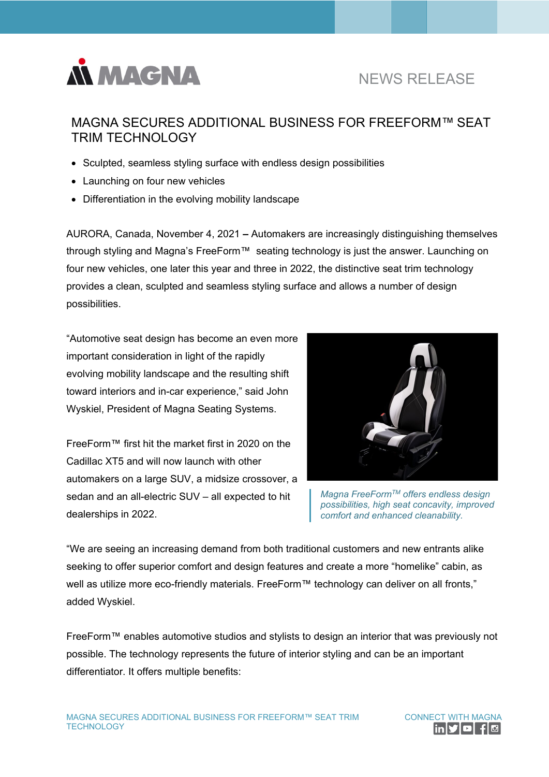

# NEWS RELEASE

## MAGNA SECURES ADDITIONAL BUSINESS FOR FREEFORM™ SEAT TRIM TECHNOLOGY

- Sculpted, seamless styling surface with endless design possibilities
- Launching on four new vehicles
- Differentiation in the evolving mobility landscape

AURORA, Canada, November 4, 2021 **–** Automakers are increasingly distinguishing themselves through styling and Magna's FreeForm™ seating technology is just the answer. Launching on four new vehicles, one later this year and three in 2022, the distinctive seat trim technology provides a clean, sculpted and seamless styling surface and allows a number of design possibilities.

"Automotive seat design has become an even more important consideration in light of the rapidly evolving mobility landscape and the resulting shift toward interiors and in-car experience," said John Wyskiel, President of Magna Seating Systems.

FreeForm™ first hit the market first in 2020 on the Cadillac XT5 and will now launch with other automakers on a large SUV, a midsize crossover, a sedan and an all-electric SUV – all expected to hit dealerships in 2022.



*Magna FreeFormTM offers endless design possibilities, high seat concavity, improved comfort and enhanced cleanability.*

"We are seeing an increasing demand from both traditional customers and new entrants alike seeking to offer superior comfort and design features and create a more "homelike" cabin, as well as utilize more eco-friendly materials. FreeForm™ technology can deliver on all fronts," added Wyskiel.

FreeForm™ enables automotive studios and stylists to design an interior that was previously not possible. The technology represents the future of interior styling and can be an important differentiator. It offers multiple benefits:

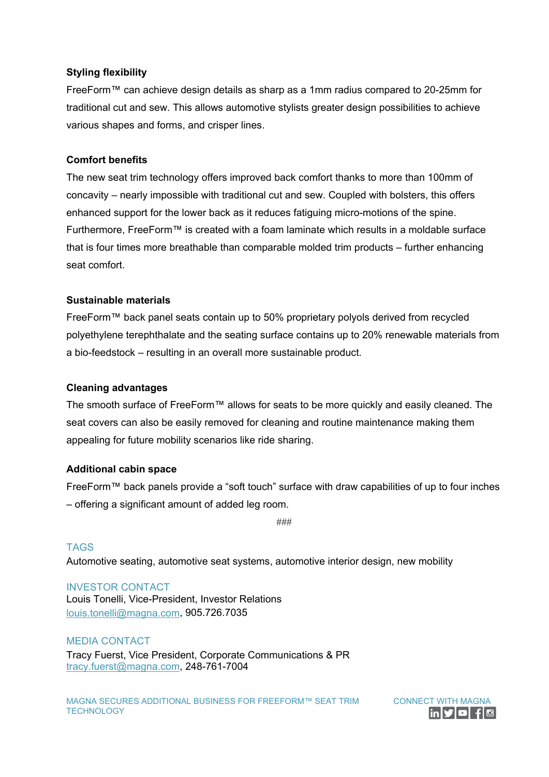### **Styling flexibility**

FreeForm™ can achieve design details as sharp as a 1mm radius compared to 20-25mm for traditional cut and sew. This allows automotive stylists greater design possibilities to achieve various shapes and forms, and crisper lines.

#### **Comfort benefits**

The new seat trim technology offers improved back comfort thanks to more than 100mm of concavity – nearly impossible with traditional cut and sew. Coupled with bolsters, this offers enhanced support for the lower back as it reduces fatiguing micro-motions of the spine. Furthermore, FreeForm™ is created with a foam laminate which results in a moldable surface that is four times more breathable than comparable molded trim products – further enhancing seat comfort.

### **Sustainable materials**

FreeForm™ back panel seats contain up to 50% proprietary polyols derived from recycled polyethylene terephthalate and the seating surface contains up to 20% renewable materials from a bio-feedstock – resulting in an overall more sustainable product.

#### **Cleaning advantages**

The smooth surface of FreeForm™ allows for seats to be more quickly and easily cleaned. The seat covers can also be easily removed for cleaning and routine maintenance making them appealing for future mobility scenarios like ride sharing.

#### **Additional cabin space**

FreeForm™ back panels provide a "soft touch" surface with draw capabilities of up to four inches – offering a significant amount of added leg room.

###

## TAGS Automotive seating, automotive seat systems, automotive interior design, new mobility

INVESTOR CONTACT Louis Tonelli, Vice-President, Investor Relations [louis.tonelli@magna.com,](mailto:louis.tonelli@magna.com) 905.726.7035

#### MEDIA CONTACT

Tracy Fuerst, Vice President, Corporate Communications & PR [tracy.fuerst@magna.com,](mailto:tracy.fuerst@magna.com) 248-761-7004